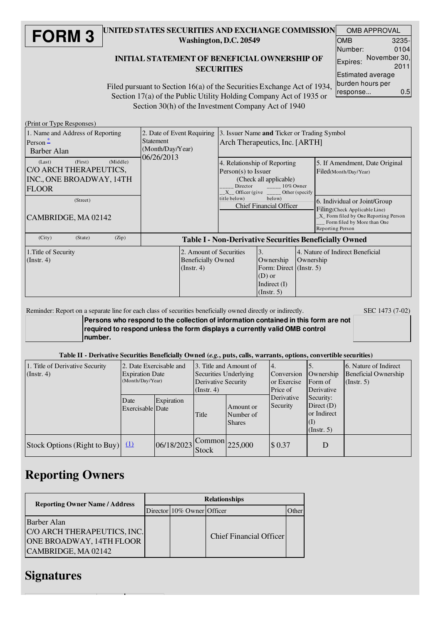#### **FORM 3** UNITED STATES SECURITIES AND EXCHANGE COMMISSION Washington, D.C. 20549 INITIAL STATEMENT OF BENEFICIAL OWNERSHIP OF **SECURITIES** OMB APPROVAL OMB Number: 3235- 0104 Expires: November 30, 2011 Estimated average

Filed pursuant to Section 16(a) of the Securities Exchange Act of 1934, Section 17(a) of the Public Utility Holding Company Act of 1935 or Section 30(h) of the Investment Company Act of 1940 burden hours per response... 0.5

(Print or Type Responses)

| 1. Name and Address of Reporting<br>Person $\stackrel{*}{-}$<br>Barber Alan                                    | 2. Date of Event Requiring<br><b>Statement</b><br>(Month/Day/Year)<br>06/26/2013 | 3. Issuer Name and Ticker or Trading Symbol<br>Arch Therapeutics, Inc. [ARTH]                                                                                                                                           |                                                                                                            |           |                                                                                                                                                          |  |  |
|----------------------------------------------------------------------------------------------------------------|----------------------------------------------------------------------------------|-------------------------------------------------------------------------------------------------------------------------------------------------------------------------------------------------------------------------|------------------------------------------------------------------------------------------------------------|-----------|----------------------------------------------------------------------------------------------------------------------------------------------------------|--|--|
| (Middle)<br>(First)<br>(Last)<br>C/O ARCH THERAPEUTICS,<br>INC., ONE BROADWAY, 14TH<br><b>FLOOR</b>            |                                                                                  | 4. Relationship of Reporting<br>$Person(s)$ to Issuer<br>(Check all applicable)<br>Director 10% Owner<br>$X_{-}$ Officer (give $\frac{1}{2}$ Other (specify<br>title below)<br>below)<br><b>Chief Financial Officer</b> |                                                                                                            |           | 5. If Amendment, Date Original<br>Filed(Month/Day/Year)                                                                                                  |  |  |
| (Street)<br>CAMBRIDGE, MA 02142                                                                                |                                                                                  |                                                                                                                                                                                                                         |                                                                                                            |           | 6. Individual or Joint/Group<br>Filing(Check Applicable Line)<br>X Form filed by One Reporting Person<br>Form filed by More than One<br>Reporting Person |  |  |
| (City)<br>(State)<br>(Zip)                                                                                     | <b>Table I - Non-Derivative Securities Beneficially Owned</b>                    |                                                                                                                                                                                                                         |                                                                                                            |           |                                                                                                                                                          |  |  |
| 2. Amount of Securities<br>1. Title of Security<br><b>Beneficially Owned</b><br>(Instr. 4)<br>$($ Instr. 4 $)$ |                                                                                  |                                                                                                                                                                                                                         | $\overline{3}$ .<br>Ownership<br>Form: Direct (Instr. 5)<br>$(D)$ or<br>Indirect $(I)$<br>$($ Instr. 5 $)$ | Ownership | 4. Nature of Indirect Beneficial                                                                                                                         |  |  |

### Reminder: Report on a separate line for each class of securities beneficially owned directly or indirectly. SEC 1473 (7-02)

**Persons who respond to the collection of information contained in this form are not required to respond unless the form displays a currently valid OMB control number.**

#### Table II - Derivative Securities Beneficially Owned (*e.g.*, puts, calls, warrants, options, convertible securities)

| 1. Title of Derivative Security<br>(Instr. 4) | 2. Date Exercisable and<br><b>Expiration Date</b><br>(Month/Day/Year) |            | 3. Title and Amount of<br>Securities Underlying<br>Derivative Security<br>$($ Instr. 4 $)$ |                                         | 14.<br>Conversion<br>or Exercise<br>Price of                                                  | Ownership<br>Form of<br>Derivative | 6. Nature of Indirect<br>Beneficial Ownership<br>(Insert. 5) |
|-----------------------------------------------|-----------------------------------------------------------------------|------------|--------------------------------------------------------------------------------------------|-----------------------------------------|-----------------------------------------------------------------------------------------------|------------------------------------|--------------------------------------------------------------|
|                                               | Date<br>Exercisable Date                                              | Expiration | Title                                                                                      | Amount or<br>Number of<br><b>Shares</b> | Derivative<br>Security:<br>Security<br>Direct $(D)$<br>or Indirect<br>(1)<br>$($ Instr. 5 $)$ |                                    |                                                              |
| Stock Options (Right to Buy) $(1)$            |                                                                       | 06/18/2023 | <b>Stock</b>                                                                               | $\bigcap$ Common 225,000                | \$0.37                                                                                        | D                                  |                                                              |

## Reporting Owners

| <b>Reporting Owner Name / Address</b>                                                                | <b>Relationships</b> |                            |                         |  |  |  |
|------------------------------------------------------------------------------------------------------|----------------------|----------------------------|-------------------------|--|--|--|
|                                                                                                      |                      | Director 10% Owner Officer |                         |  |  |  |
| <b>Barber Alan</b><br>C/O ARCH THERAPEUTICS, INC.<br>ONE BROADWAY, 14TH FLOOR<br>CAMBRIDGE, MA 02142 |                      |                            | Chief Financial Officer |  |  |  |

### Signatures